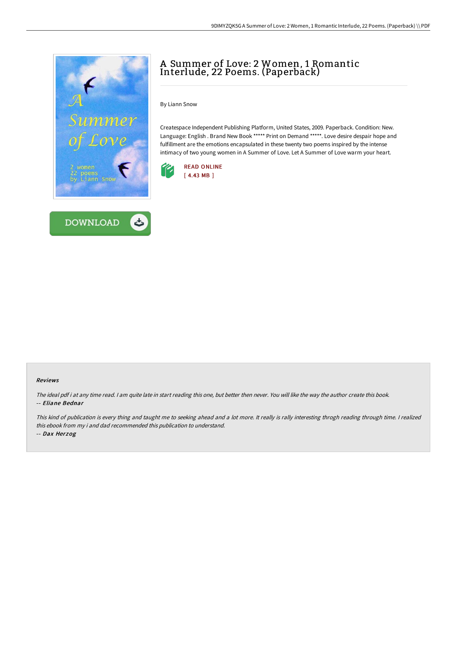



# A Summer of Love: 2 Women, 1 Romantic Interlude, 22 Poems. (Paperback)

By Liann Snow

Createspace Independent Publishing Platform, United States, 2009. Paperback. Condition: New. Language: English . Brand New Book \*\*\*\*\* Print on Demand \*\*\*\*\*. Love desire despair hope and fulfillment are the emotions encapsulated in these twenty two poems inspired by the intense intimacy of two young women in A Summer of Love. Let A Summer of Love warm your heart.



#### Reviews

The ideal pdf i at any time read. <sup>I</sup> am quite late in start reading this one, but better then never. You will like the way the author create this book. -- Eliane Bednar

This kind of publication is every thing and taught me to seeking ahead and a lot more. It really is rally interesting throgh reading through time. I realized this ebook from my i and dad recommended this publication to understand. -- Dax Herzog